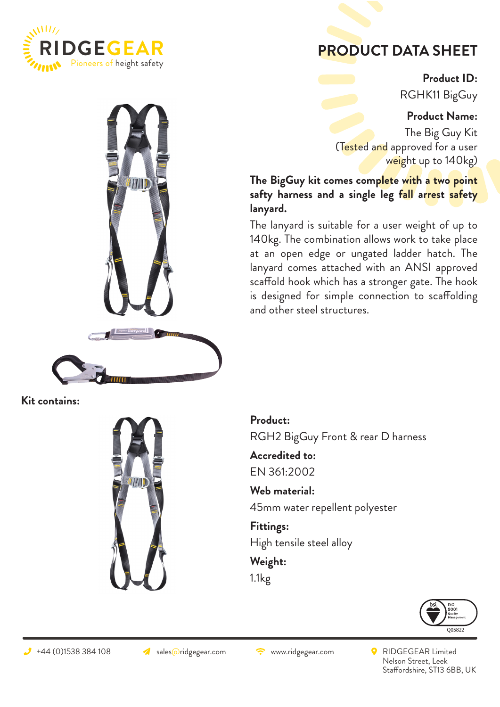

## **PRODUCT DATA SHEET**

**Product ID:** RGHK11 BigGuy

## **Product Name:**

The Big Guy Kit (Tested and approved for a user weight up to 140kg)

**The BigGuy kit comes complete with a two point safty harness and a single leg fall arrest safety lanyard.** 

The lanyard is suitable for a user weight of up to 140kg. The combination allows work to take place at an open edge or ungated ladder hatch. The lanyard comes attached with an ANSI approved scaffold hook which has a stronger gate. The hook is designed for simple connection to scaffolding and other steel structures.



**Kit contains:**



**Product:**

RGH2 BigGuy Front & rear D harness

**Accredited to:** EN 361:2002

**Web material:**  45mm water repellent polyester

**Fittings:** High tensile steel alloy

**Weight:** 1.1kg



 $\rightarrow$  +44 (0)1538 384 108  $\rightarrow$  sales@ridgegear.com  $\rightarrow$  www.ridgegear.com  $\rightarrow$  RIDGEGEAR Limited Nelson Street, Leek Staffordshire, ST13 6BB, UK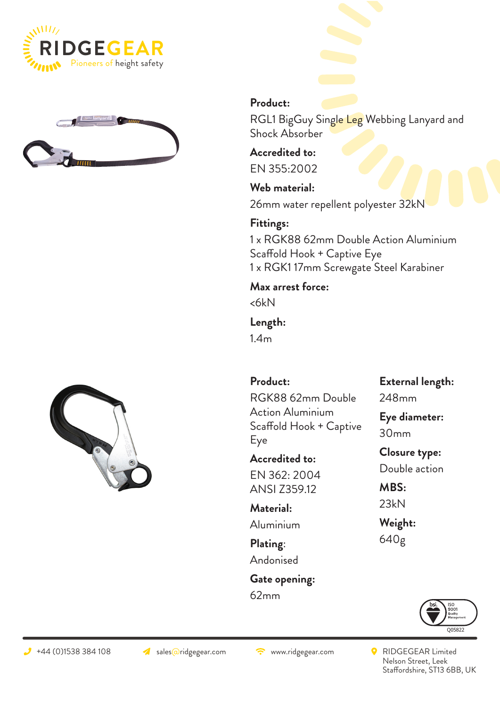





## **Product:**

RGL1 BigGuy Single Leg Webbing Lanyard and Shock Absorber

**Accredited to:** EN 355:2002

**Web material:**  26mm water repellent polyester 32kN

**Fittings:** 1 x RGK88 62mm Double Action Aluminium Scaffold Hook + Captive Eye 1 x RGK1 17mm Screwgate Steel Karabiner

**Max arrest force:**

<6kN

**Length:**  1.4m

**Product:**  RGK88 62mm Double Action Aluminium Scaffold Hook + Captive Eye

**Accredited to:** EN 362: 2004 ANSI Z359.12

**Material:**  Aluminium

**Plating**: Andonised

**Gate opening:** 62mm

**External length:** 248mm

**Eye diameter:** 30mm

**Closure type:** Double action

**MBS:** 23kN

**Weight:** 640g



 $\rightarrow$  +44 (0)1538 384 108  $\rightarrow$  sales@ridgegear.com  $\rightarrow$  www.ridgegear.com  $\rightarrow$  RIDGEGEAR Limited Nelson Street, Leek Staffordshire, ST13 6BB, UK